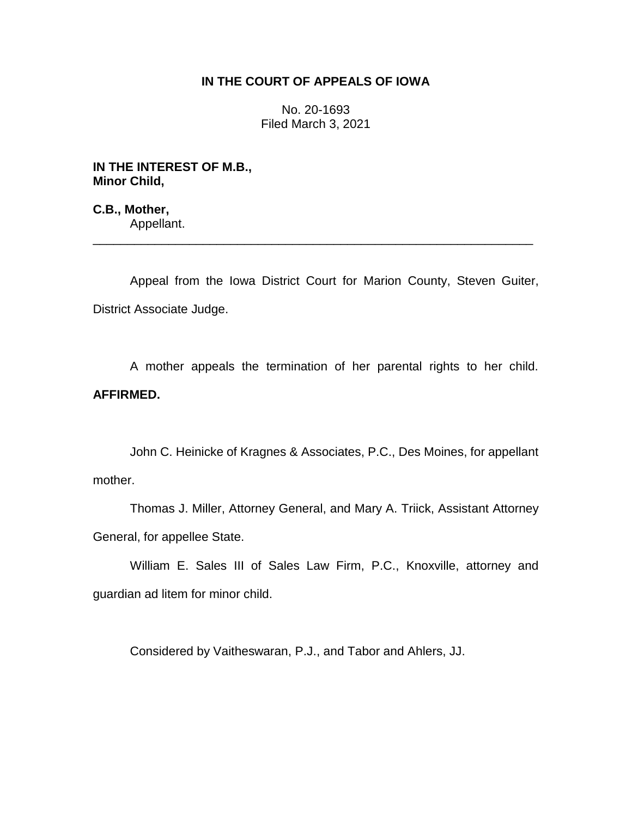## **IN THE COURT OF APPEALS OF IOWA**

No. 20-1693 Filed March 3, 2021

**IN THE INTEREST OF M.B., Minor Child,**

**C.B., Mother,** Appellant.

Appeal from the Iowa District Court for Marion County, Steven Guiter, District Associate Judge.

\_\_\_\_\_\_\_\_\_\_\_\_\_\_\_\_\_\_\_\_\_\_\_\_\_\_\_\_\_\_\_\_\_\_\_\_\_\_\_\_\_\_\_\_\_\_\_\_\_\_\_\_\_\_\_\_\_\_\_\_\_\_\_\_

A mother appeals the termination of her parental rights to her child. **AFFIRMED.**

John C. Heinicke of Kragnes & Associates, P.C., Des Moines, for appellant mother.

Thomas J. Miller, Attorney General, and Mary A. Triick, Assistant Attorney General, for appellee State.

William E. Sales III of Sales Law Firm, P.C., Knoxville, attorney and guardian ad litem for minor child.

Considered by Vaitheswaran, P.J., and Tabor and Ahlers, JJ.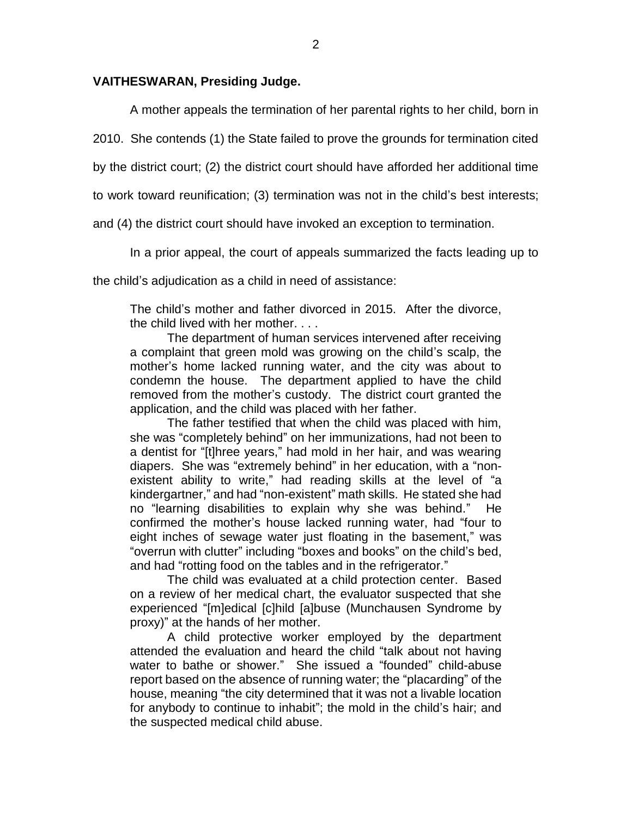## **VAITHESWARAN, Presiding Judge.**

A mother appeals the termination of her parental rights to her child, born in

2010. She contends (1) the State failed to prove the grounds for termination cited

by the district court; (2) the district court should have afforded her additional time

to work toward reunification; (3) termination was not in the child's best interests;

and (4) the district court should have invoked an exception to termination.

In a prior appeal, the court of appeals summarized the facts leading up to

the child's adjudication as a child in need of assistance:

The child's mother and father divorced in 2015. After the divorce, the child lived with her mother. . . .

The department of human services intervened after receiving a complaint that green mold was growing on the child's scalp, the mother's home lacked running water, and the city was about to condemn the house. The department applied to have the child removed from the mother's custody. The district court granted the application, and the child was placed with her father.

The father testified that when the child was placed with him, she was "completely behind" on her immunizations, had not been to a dentist for "[t]hree years," had mold in her hair, and was wearing diapers. She was "extremely behind" in her education, with a "nonexistent ability to write," had reading skills at the level of "a kindergartner," and had "non-existent" math skills. He stated she had no "learning disabilities to explain why she was behind." He confirmed the mother's house lacked running water, had "four to eight inches of sewage water just floating in the basement," was "overrun with clutter" including "boxes and books" on the child's bed, and had "rotting food on the tables and in the refrigerator."

The child was evaluated at a child protection center. Based on a review of her medical chart, the evaluator suspected that she experienced "[m]edical [c]hild [a]buse (Munchausen Syndrome by proxy)" at the hands of her mother.

A child protective worker employed by the department attended the evaluation and heard the child "talk about not having water to bathe or shower." She issued a "founded" child-abuse report based on the absence of running water; the "placarding" of the house, meaning "the city determined that it was not a livable location for anybody to continue to inhabit"; the mold in the child's hair; and the suspected medical child abuse.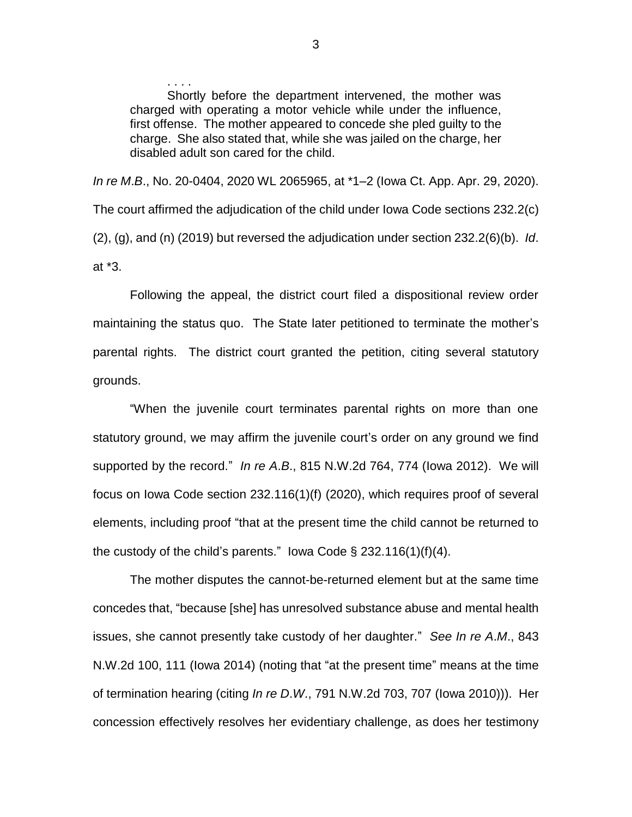Shortly before the department intervened, the mother was charged with operating a motor vehicle while under the influence, first offense. The mother appeared to concede she pled guilty to the charge. She also stated that, while she was jailed on the charge, her disabled adult son cared for the child.

*In re M*.*B*., No. 20-0404, 2020 WL 2065965, at \*1–2 (Iowa Ct. App. Apr. 29, 2020). The court affirmed the adjudication of the child under Iowa Code sections 232.2(c) (2), (g), and (n) (2019) but reversed the adjudication under section 232.2(6)(b). *Id*. at \*3.

Following the appeal, the district court filed a dispositional review order maintaining the status quo. The State later petitioned to terminate the mother's parental rights. The district court granted the petition, citing several statutory grounds.

"When the juvenile court terminates parental rights on more than one statutory ground, we may affirm the juvenile court's order on any ground we find supported by the record." *In re A*.*B*., 815 N.W.2d 764, 774 (Iowa 2012). We will focus on Iowa Code section 232.116(1)(f) (2020), which requires proof of several elements, including proof "that at the present time the child cannot be returned to the custody of the child's parents." Iowa Code  $\S$  232.116(1)(f)(4).

The mother disputes the cannot-be-returned element but at the same time concedes that, "because [she] has unresolved substance abuse and mental health issues, she cannot presently take custody of her daughter." *See In re A*.*M*., 843 N.W.2d 100, 111 (Iowa 2014) (noting that "at the present time" means at the time of termination hearing (citing *In re D*.*W*., 791 N.W.2d 703, 707 (Iowa 2010))). Her concession effectively resolves her evidentiary challenge, as does her testimony

. . . .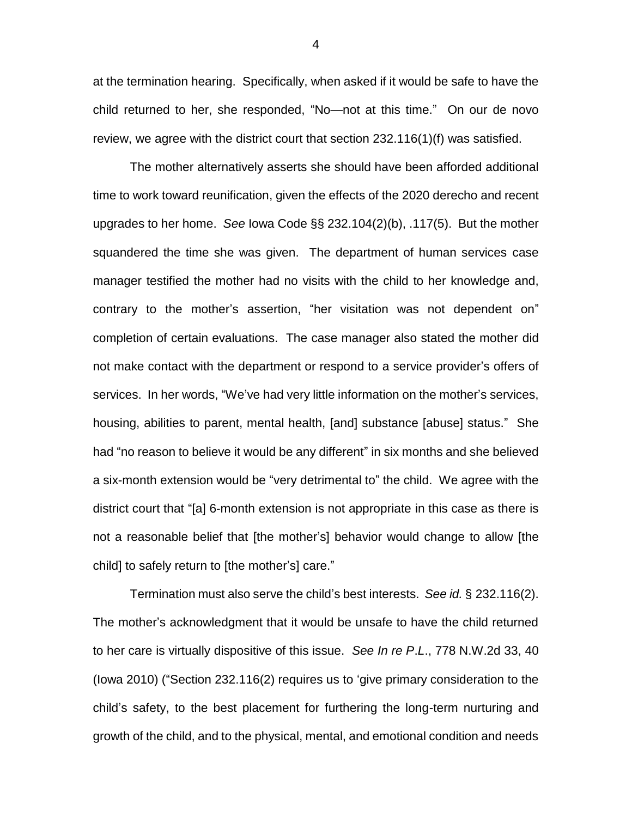at the termination hearing. Specifically, when asked if it would be safe to have the child returned to her, she responded, "No—not at this time." On our de novo review, we agree with the district court that section 232.116(1)(f) was satisfied.

The mother alternatively asserts she should have been afforded additional time to work toward reunification, given the effects of the 2020 derecho and recent upgrades to her home. *See* Iowa Code §§ 232.104(2)(b), .117(5). But the mother squandered the time she was given. The department of human services case manager testified the mother had no visits with the child to her knowledge and, contrary to the mother's assertion, "her visitation was not dependent on" completion of certain evaluations. The case manager also stated the mother did not make contact with the department or respond to a service provider's offers of services. In her words, "We've had very little information on the mother's services, housing, abilities to parent, mental health, [and] substance [abuse] status." She had "no reason to believe it would be any different" in six months and she believed a six-month extension would be "very detrimental to" the child. We agree with the district court that "[a] 6-month extension is not appropriate in this case as there is not a reasonable belief that [the mother's] behavior would change to allow [the child] to safely return to [the mother's] care."

Termination must also serve the child's best interests. *See id.* § 232.116(2). The mother's acknowledgment that it would be unsafe to have the child returned to her care is virtually dispositive of this issue. *See In re P*.*L*., 778 N.W.2d 33, 40 (Iowa 2010) ("Section 232.116(2) requires us to 'give primary consideration to the child's safety, to the best placement for furthering the long-term nurturing and growth of the child, and to the physical, mental, and emotional condition and needs

4